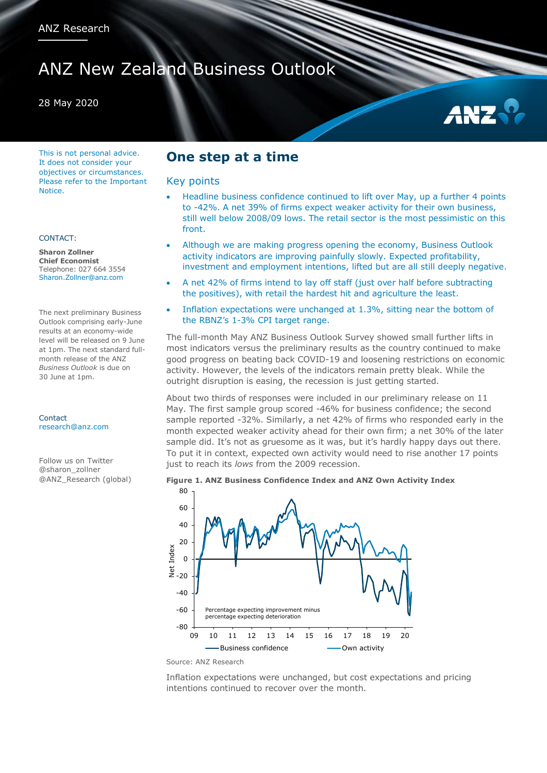# ANZ New Zealand Business Outlook

### 28 May 2020

This is not personal advice. It does not consider your objectives or circumstances. Please refer to the Important Notice.

#### CONTACT:

**Sharon Zollner Chief Economist** Telephone: 027 664 3554 Sharon.Zollner@anz.com

The next preliminary Business Outlook comprising early-June results at an economy-wide level will be released on 9 June at 1pm. The next standard fullmonth release of the ANZ *Business Outlook* is due on 30 June at 1pm.

Contact [research@anz.com](mailto:research@anz.com)

Follow us on Twitter @sharon\_zollner @ANZ\_Research (global)

### **One step at a time**

#### Key points

- Headline business confidence continued to lift over May, up a further 4 points to -42%. A net 39% of firms expect weaker activity for their own business, still well below 2008/09 lows. The retail sector is the most pessimistic on this front.
- Although we are making progress opening the economy, Business Outlook activity indicators are improving painfully slowly. Expected profitability, investment and employment intentions, lifted but are all still deeply negative.
- A net 42% of firms intend to lay off staff (just over half before subtracting the positives), with retail the hardest hit and agriculture the least.
- Inflation expectations were unchanged at 1.3%, sitting near the bottom of the RBNZ's 1-3% CPI target range.

The full-month May ANZ Business Outlook Survey showed small further lifts in most indicators versus the preliminary results as the country continued to make good progress on beating back COVID-19 and loosening restrictions on economic activity. However, the levels of the indicators remain pretty bleak. While the outright disruption is easing, the recession is just getting started.

About two thirds of responses were included in our preliminary release on 11 May. The first sample group scored -46% for business confidence; the second sample reported -32%. Similarly, a net 42% of firms who responded early in the month expected weaker activity ahead for their own firm; a net 30% of the later sample did. It's not as gruesome as it was, but it's hardly happy days out there. To put it in context, expected own activity would need to rise another 17 points just to reach its *lows* from the 2009 recession.

#### **Figure 1. ANZ Business Confidence Index and ANZ Own Activity Index**



Source: ANZ Research

Inflation expectations were unchanged, but cost expectations and pricing intentions continued to recover over the month.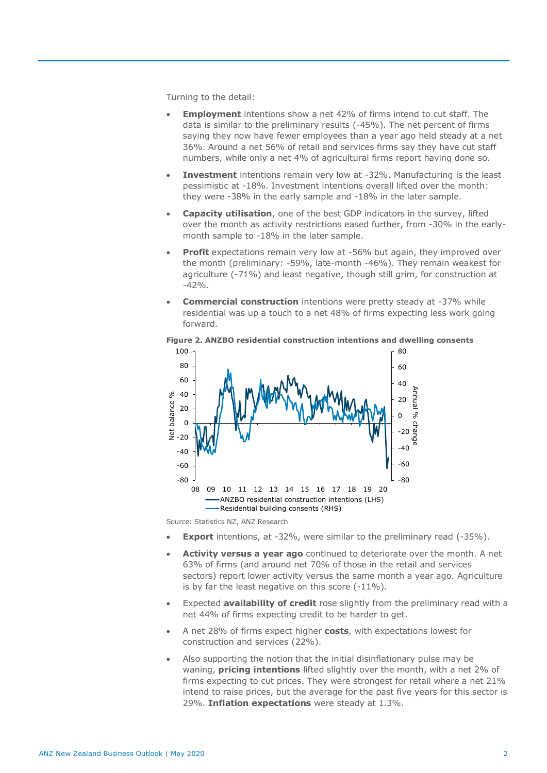Turning to the detail:

- **Employment** intentions show a net 42% of firms intend to cut staff. The data is similar to the preliminary results (-45%). The net percent of firms saying they now have fewer employees than a year ago held steady at a net 36%. Around a net 56% of retail and services firms say they have cut staff numbers, while only a net 4% of agricultural firms report having done so.
- **Investment** intentions remain very low at -32%. Manufacturing is the least pessimistic at -18%. Investment intentions overall lifted over the month: they were -38% in the early sample and -18% in the later sample.
- **Capacity utilisation**, one of the best GDP indicators in the survey, lifted over the month as activity restrictions eased further, from -30% in the earlymonth sample to -18% in the later sample.
- **Profit** expectations remain very low at -56% but again, they improved over the month (preliminary: -59%, late-month -46%). They remain weakest for agriculture (-71%) and least negative, though still grim, for construction at  $-42%$ .
- **Commercial construction** intentions were pretty steady at -37% while residential was up a touch to a net 48% of firms expecting less work going forward.





Source: Statistics NZ, ANZ Research

- **Export** intentions, at -32%, were similar to the preliminary read (-35%).
- **Activity versus a year ago** continued to deteriorate over the month. A net 63% of firms (and around net 70% of those in the retail and services sectors) report lower activity versus the same month a year ago. Agriculture is by far the least negative on this score (-11%).
- Expected **availability of credit** rose slightly from the preliminary read with a net 44% of firms expecting credit to be harder to get.
- A net 28% of firms expect higher **costs**, with expectations lowest for construction and services (22%).
- Also supporting the notion that the initial disinflationary pulse may be waning, **pricing intentions** lifted slightly over the month, with a net 2% of firms expecting to cut prices. They were strongest for retail where a net 21% intend to raise prices, but the average for the past five years for this sector is 29%. **Inflation expectations** were steady at 1.3%.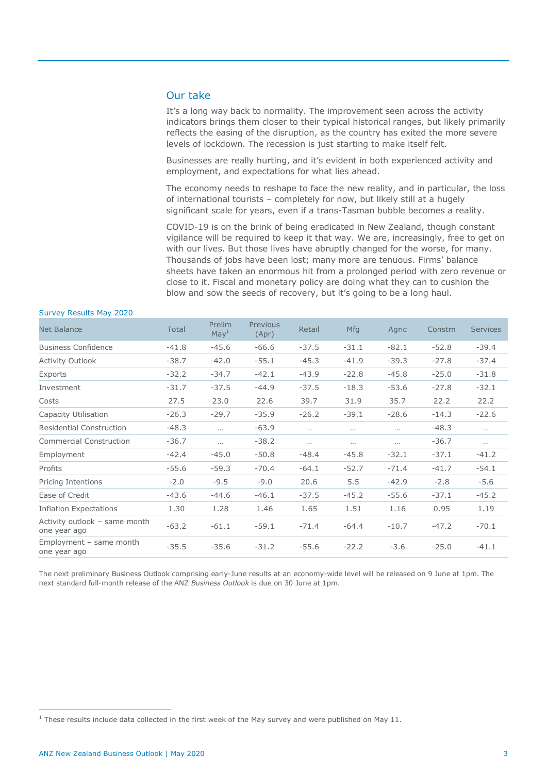### Our take

It's a long way back to normality. The improvement seen across the activity indicators brings them closer to their typical historical ranges, but likely primarily reflects the easing of the disruption, as the country has exited the more severe levels of lockdown. The recession is just starting to make itself felt.

Businesses are really hurting, and it's evident in both experienced activity and employment, and expectations for what lies ahead.

The economy needs to reshape to face the new reality, and in particular, the loss of international tourists – completely for now, but likely still at a hugely significant scale for years, even if a trans-Tasman bubble becomes a reality.

COVID-19 is on the brink of being eradicated in New Zealand, though constant vigilance will be required to keep it that way. We are, increasingly, free to get on with our lives. But those lives have abruptly changed for the worse, for many. Thousands of jobs have been lost; many more are tenuous. Firms' balance sheets have taken an enormous hit from a prolonged period with zero revenue or close to it. Fiscal and monetary policy are doing what they can to cushion the blow and sow the seeds of recovery, but it's going to be a long haul.

| <b>Net Balance</b>                            | <b>Total</b> | <b>Prelim</b><br>May <sup>1</sup> | Previous<br>(Apr) | Retail   | <b>Mfg</b> | Agric    | Constrn | <b>Services</b> |
|-----------------------------------------------|--------------|-----------------------------------|-------------------|----------|------------|----------|---------|-----------------|
| <b>Business Confidence</b>                    | $-41.8$      | $-45.6$                           | $-66.6$           | $-37.5$  | $-31.1$    | $-82.1$  | $-52.8$ | $-39.4$         |
| <b>Activity Outlook</b>                       | $-38.7$      | $-42.0$                           | $-55.1$           | $-45.3$  | $-41.9$    | $-39.3$  | $-27.8$ | $-37.4$         |
| Exports                                       | $-32.2$      | $-34.7$                           | $-42.1$           | $-43.9$  | $-22.8$    | $-45.8$  | $-25.0$ | $-31.8$         |
| Investment                                    | $-31.7$      | $-37.5$                           | $-44.9$           | $-37.5$  | $-18.3$    | $-53.6$  | $-27.8$ | $-32.1$         |
| Costs                                         | 27.5         | 23.0                              | 22.6              | 39.7     | 31.9       | 35.7     | 22.2    | 22.2            |
| Capacity Utilisation                          | $-26.3$      | $-29.7$                           | $-35.9$           | $-26.2$  | $-39.1$    | $-28.6$  | $-14.3$ | $-22.6$         |
| <b>Residential Construction</b>               | $-48.3$      | $\cdots$                          | $-63.9$           | $\cdots$ | $\cdots$   | $\cdots$ | $-48.3$ | $\cdots$        |
| <b>Commercial Construction</b>                | $-36.7$      | $\cdots$                          | $-38.2$           | $\cdots$ | $\cdots$   | $\cdots$ | $-36.7$ | $\cdots$        |
| Employment                                    | $-42.4$      | $-45.0$                           | $-50.8$           | $-48.4$  | $-45.8$    | $-32.1$  | $-37.1$ | $-41.2$         |
| Profits                                       | $-55.6$      | $-59.3$                           | $-70.4$           | $-64.1$  | $-52.7$    | $-71.4$  | $-41.7$ | $-54.1$         |
| Pricing Intentions                            | $-2.0$       | $-9.5$                            | $-9.0$            | 20.6     | 5.5        | $-42.9$  | $-2.8$  | $-5.6$          |
| Ease of Credit                                | $-43.6$      | $-44.6$                           | $-46.1$           | $-37.5$  | $-45.2$    | $-55.6$  | $-37.1$ | $-45.2$         |
| <b>Inflation Expectations</b>                 | 1.30         | 1.28                              | 1.46              | 1.65     | 1.51       | 1.16     | 0.95    | 1.19            |
| Activity outlook - same month<br>one year ago | $-63.2$      | $-61.1$                           | $-59.1$           | $-71.4$  | $-64.4$    | $-10.7$  | $-47.2$ | $-70.1$         |
| Employment - same month<br>one year ago       | $-35.5$      | $-35.6$                           | $-31.2$           | $-55.6$  | $-22.2$    | $-3.6$   | $-25.0$ | $-41.1$         |

#### Survey Results May 2020

The next preliminary Business Outlook comprising early-June results at an economy-wide level will be released on 9 June at 1pm. The next standard full-month release of the ANZ *Business Outlook* is due on 30 June at 1pm.

 $\overline{a}$ 

 $1$  These results include data collected in the first week of the May survey and were published on May 11.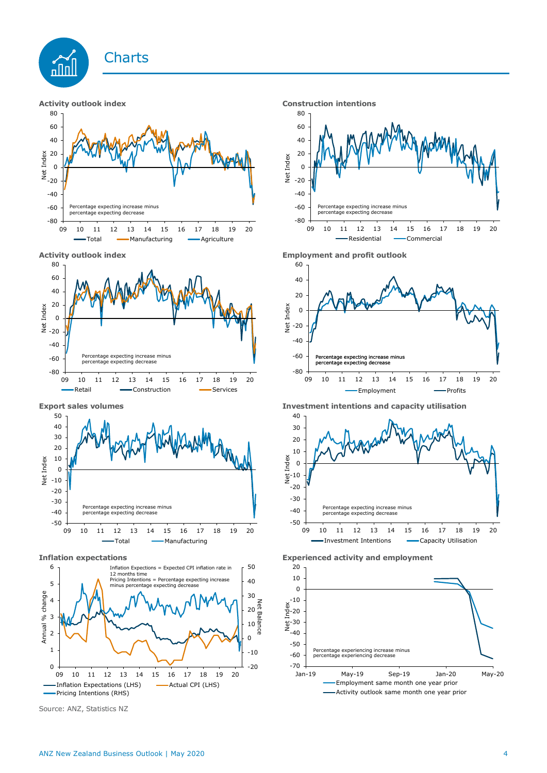

















**Export sales volumes Investment intentions and capacity utilisation**



**Inflation expectations Experienced activity and employment**

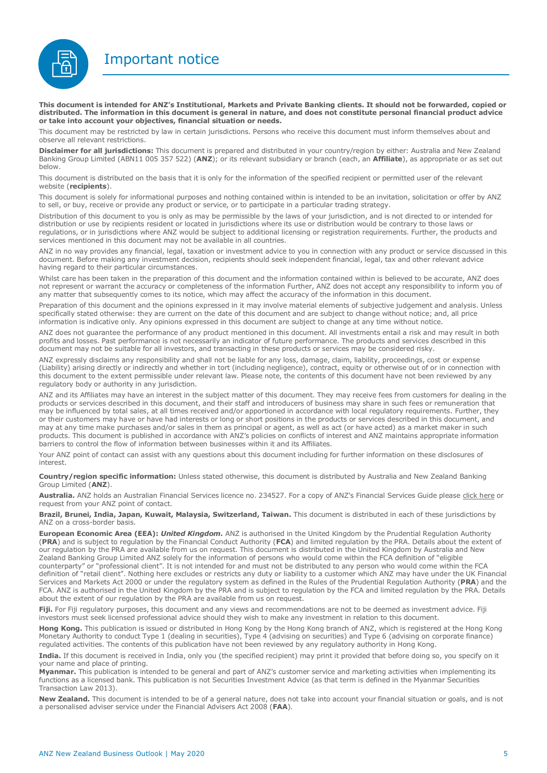Important notice



**This document is intended for ANZ's Institutional, Markets and Private Banking clients. It should not be forwarded, copied or distributed. The information in this document is general in nature, and does not constitute personal financial product advice or take into account your objectives, financial situation or needs.** 

This document may be restricted by law in certain jurisdictions. Persons who receive this document must inform themselves about and observe all relevant restrictions.

**Disclaimer for all jurisdictions:** This document is prepared and distributed in your country/region by either: Australia and New Zealand Banking Group Limited (ABN11 005 357 522) (**ANZ**); or its relevant subsidiary or branch (each, an **Affiliate**), as appropriate or as set out below.

This document is distributed on the basis that it is only for the information of the specified recipient or permitted user of the relevant website (**recipients**).

This document is solely for informational purposes and nothing contained within is intended to be an invitation, solicitation or offer by ANZ to sell, or buy, receive or provide any product or service, or to participate in a particular trading strategy.

Distribution of this document to you is only as may be permissible by the laws of your jurisdiction, and is not directed to or intended for distribution or use by recipients resident or located in jurisdictions where its use or distribution would be contrary to those laws or regulations, or in jurisdictions where ANZ would be subject to additional licensing or registration requirements. Further, the products and services mentioned in this document may not be available in all countries.

ANZ in no way provides any financial, legal, taxation or investment advice to you in connection with any product or service discussed in this document. Before making any investment decision, recipients should seek independent financial, legal, tax and other relevant advice having regard to their particular circumstances.

Whilst care has been taken in the preparation of this document and the information contained within is believed to be accurate, ANZ does not represent or warrant the accuracy or completeness of the information Further, ANZ does not accept any responsibility to inform you of any matter that subsequently comes to its notice, which may affect the accuracy of the information in this document.

Preparation of this document and the opinions expressed in it may involve material elements of subjective judgement and analysis. Unless specifically stated otherwise: they are current on the date of this document and are subject to change without notice; and, all price information is indicative only. Any opinions expressed in this document are subject to change at any time without notice.

ANZ does not guarantee the performance of any product mentioned in this document. All investments entail a risk and may result in both profits and losses. Past performance is not necessarily an indicator of future performance. The products and services described in this document may not be suitable for all investors, and transacting in these products or services may be considered risky.

ANZ expressly disclaims any responsibility and shall not be liable for any loss, damage, claim, liability, proceedings, cost or expense (Liability) arising directly or indirectly and whether in tort (including negligence), contract, equity or otherwise out of or in connection with this document to the extent permissible under relevant law. Please note, the contents of this document have not been reviewed by any regulatory body or authority in any jurisdiction.

ANZ and its Affiliates may have an interest in the subject matter of this document. They may receive fees from customers for dealing in the products or services described in this document, and their staff and introducers of business may share in such fees or remuneration that may be influenced by total sales, at all times received and/or apportioned in accordance with local regulatory requirements. Further, they or their customers may have or have had interests or long or short positions in the products or services described in this document, and may at any time make purchases and/or sales in them as principal or agent, as well as act (or have acted) as a market maker in such products. This document is published in accordance with ANZ's policies on conflicts of interest and ANZ maintains appropriate information barriers to control the flow of information between businesses within it and its Affiliates.

Your ANZ point of contact can assist with any questions about this document including for further information on these disclosures of interest.

**Country/region specific information:** Unless stated otherwise, this document is distributed by Australia and New Zealand Banking Group Limited (**ANZ**).

Australia. ANZ holds an Australian Financial Services licence no. 234527. For a copy of ANZ's Financial Services Guide please [click here](http://www.anz.com/documents/AU/aboutANZ/FinancialServicesGuide.pdf) or request from your ANZ point of contact.

**Brazil, Brunei, India, Japan, Kuwait, Malaysia, Switzerland, Taiwan.** This document is distributed in each of these jurisdictions by ANZ on a cross-border basis.

**European Economic Area (EEA):** *United Kingdom.* ANZ is authorised in the United Kingdom by the Prudential Regulation Authority (**PRA**) and is subject to regulation by the Financial Conduct Authority (**FCA**) and limited regulation by the PRA. Details about the extent of our regulation by the PRA are available from us on request. This document is distributed in the United Kingdom by Australia and New Zealand Banking Group Limited ANZ solely for the information of persons who would come within the FCA definition of "eligible counterparty" or "professional client". It is not intended for and must not be distributed to any person who would come within the FCA definition of "retail client". Nothing here excludes or restricts any duty or liability to a customer which ANZ may have under the UK Financial Services and Markets Act 2000 or under the regulatory system as defined in the Rules of the Prudential Regulation Authority (**PRA**) and the FCA. ANZ is authorised in the United Kingdom by the PRA and is subject to regulation by the FCA and limited regulation by the PRA. Details about the extent of our regulation by the PRA are available from us on request.

Fiji. For Fiji regulatory purposes, this document and any views and recommendations are not to be deemed as investment advice. Fiji investors must seek licensed professional advice should they wish to make any investment in relation to this document.

**Hong Kong.** This publication is issued or distributed in Hong Kong by the Hong Kong branch of ANZ, which is registered at the Hong Kong Monetary Authority to conduct Type 1 (dealing in securities), Type 4 (advising on securities) and Type 6 (advising on corporate finance) regulated activities. The contents of this publication have not been reviewed by any regulatory authority in Hong Kong.

**India.** If this document is received in India, only you (the specified recipient) may print it provided that before doing so, you specify on it your name and place of printing.

**Myanmar.** This publication is intended to be general and part of ANZ's customer service and marketing activities when implementing its functions as a licensed bank. This publication is not Securities Investment Advice (as that term is defined in the Myanmar Securities Transaction Law 2013).

**New Zealand.** This document is intended to be of a general nature, does not take into account your financial situation or goals, and is not a personalised adviser service under the Financial Advisers Act 2008 (**FAA**).